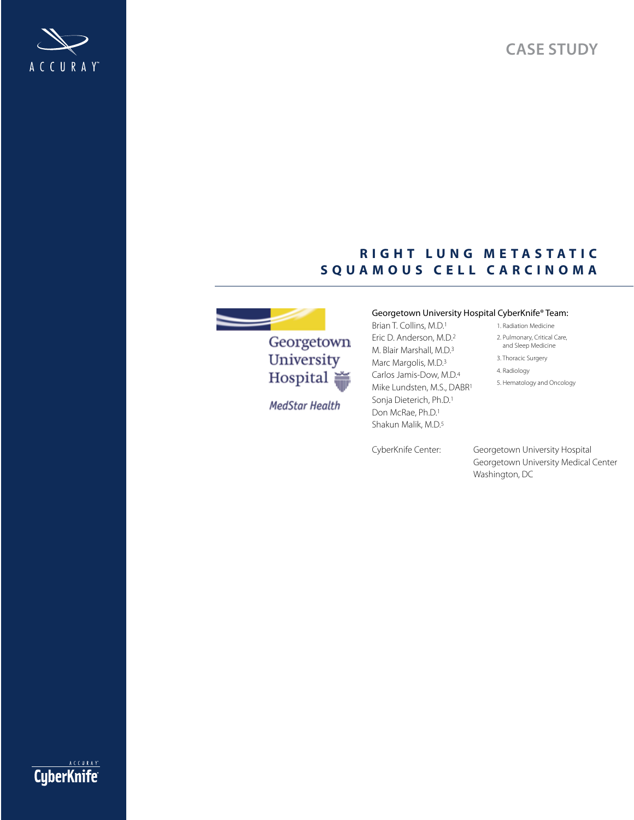**Case study**



## **r i g h t l u n g m e t a s t a t i c SQUAMOUS CELL CARCINOMA**



**MedStar Health** 

#### Georgetown University Hospital CyberKnife® Team:

- Brian T. Collins, M.D.1 Eric D. Anderson, M.D.2 M. Blair Marshall, M.D.3 Marc Margolis, M.D.<sup>3</sup> Carlos Jamis-Dow, M.D.4 Mike Lundsten, M.S., DABR1 Sonja Dieterich, Ph.D.1 Don McRae, Ph.D.1 Shakun Malik, M.D.5
- 
- 1. Radiation Medicine
- 2. Pulmonary, Critical Care, and Sleep Medicine
- 3. Thoracic Surgery
- 4. Radiology
- 5. Hematology and Oncology

CyberKnife Center: Georgetown University Hospital Georgetown University Medical Center Washington, DC

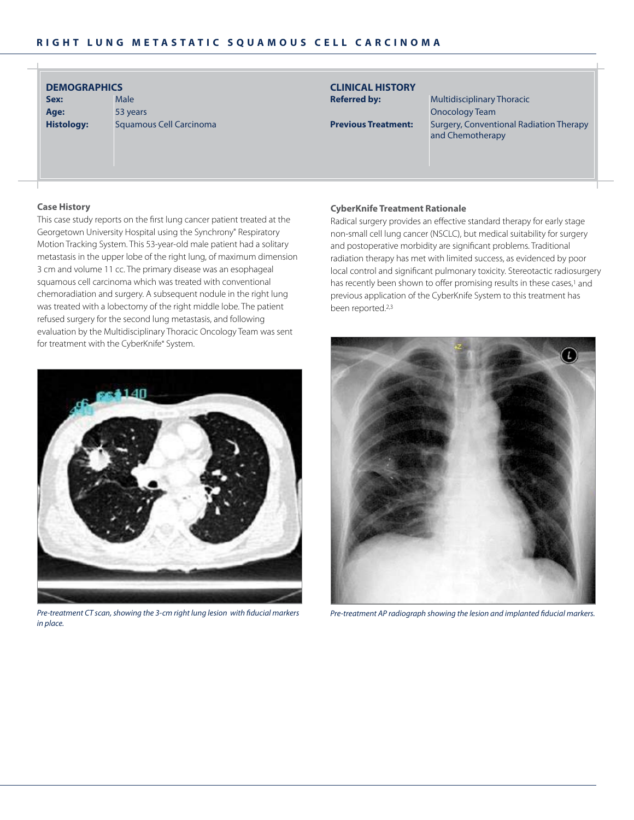| <b>DEMOGRAPHICS</b> |  |  |  |
|---------------------|--|--|--|
|                     |  |  |  |

**sex:** Male **age:** 53 years **Histology:** Squamous Cell Carcinoma

# **clinical historY**

**Referred by:** Multidisciplinary Thoracic Onocology Team **Previous Treatment:** Surgery, Conventional Radiation Therapy and Chemotherapy

#### **case history**

This case study reports on the first lung cancer patient treated at the Georgetown University Hospital using the Synchrony® Respiratory Motion Tracking System. This 53-year-old male patient had a solitary metastasis in the upper lobe of the right lung, of maximum dimension 3 cm and volume 11 cc. The primary disease was an esophageal squamous cell carcinoma which was treated with conventional chemoradiation and surgery. A subsequent nodule in the right lung was treated with a lobectomy of the right middle lobe. The patient refused surgery for the second lung metastasis, and following evaluation by the Multidisciplinary Thoracic Oncology Team was sent for treatment with the CyberKnife® System.



*Pre-treatment CT scan, showing the 3-cm right lung lesion with fiducial markers in place.*

#### **CyberKnife Treatment Rationale**

Radical surgery provides an effective standard therapy for early stage non-small cell lung cancer (NSCLC), but medical suitability for surgery and postoperative morbidity are significant problems. Traditional radiation therapy has met with limited success, as evidenced by poor local control and significant pulmonary toxicity. Stereotactic radiosurgery has recently been shown to offer promising results in these cases,<sup>1</sup> and previous application of the CyberKnife System to this treatment has been reported.2,3



*Pre-treatment AP radiograph showing the lesion and implanted fiducial markers.*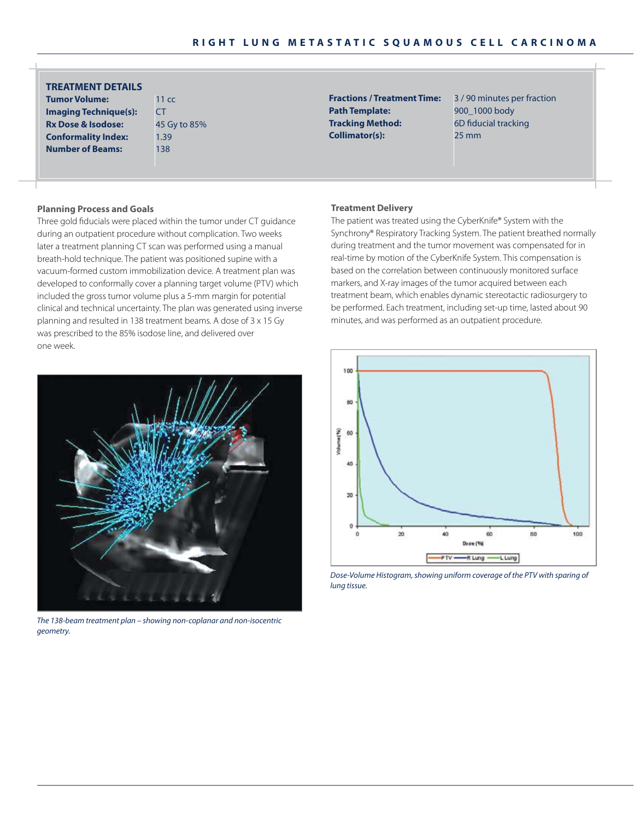| <b>TREATMENT DETAILS</b> |                  |
|--------------------------|------------------|
| <b>Tumor Volume:</b>     | 11 <sub>cc</sub> |

**imaging Technique(s): Rx Dose & Isodose: Conformality Index: Number of Beams:** 

| 11 cc       |
|-------------|
| CT          |
| 45 Gy to 85 |
| 1.39        |
| 138         |

Path Template: 900\_1000 body **Tracking Method:** 6D fiducial tracking **collimator(s):** 25 mm

**Fractions / Treatment Time:** 3 / 90 minutes per fraction

#### **Planning Process and goals**

Three gold fiducials were placed within the tumor under CT guidance during an outpatient procedure without complication. Two weeks later a treatment planning CT scan was performed using a manual breath-hold technique. The patient was positioned supine with a vacuum-formed custom immobilization device. A treatment plan was developed to conformally cover a planning target volume (PTV) which included the gross tumor volume plus a 5-mm margin for potential clinical and technical uncertainty. The plan was generated using inverse planning and resulted in 138 treatment beams. A dose of 3 x 15 Gy was prescribed to the 85% isodose line, and delivered over one week.



*Pre-treatment AP radiograph showing the lesion and implanted fiducial markers. The 138-beam treatment plan – showing non-coplanar and non-isocentric geometry.*

#### **treatment Delivery**

The patient was treated using the CyberKnife® System with the Synchrony® Respiratory Tracking System. The patient breathed normally during treatment and the tumor movement was compensated for in real-time by motion of the CyberKnife System. This compensation is based on the correlation between continuously monitored surface markers, and X-ray images of the tumor acquired between each treatment beam, which enables dynamic stereotactic radiosurgery to be performed. Each treatment, including set-up time, lasted about 90 minutes, and was performed as an outpatient procedure.



*Dose-Volume Histogram, showing uniform coverage of the PTV with sparing of lung tissue.*